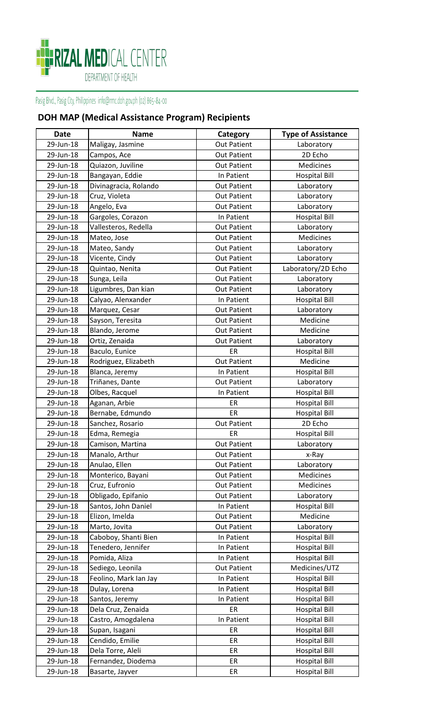

## **DOH MAP (Medical Assistance Program) Recipients**

| <b>Date</b> | <b>Name</b>           | Category           | <b>Type of Assistance</b> |
|-------------|-----------------------|--------------------|---------------------------|
| 29-Jun-18   | Maligay, Jasmine      | <b>Out Patient</b> | Laboratory                |
| 29-Jun-18   | Campos, Ace           | <b>Out Patient</b> | 2D Echo                   |
| 29-Jun-18   | Quiazon, Juviline     | <b>Out Patient</b> | Medicines                 |
| 29-Jun-18   | Bangayan, Eddie       | In Patient         | <b>Hospital Bill</b>      |
| 29-Jun-18   | Divinagracia, Rolando | <b>Out Patient</b> | Laboratory                |
| 29-Jun-18   | Cruz, Violeta         | Out Patient        | Laboratory                |
| 29-Jun-18   | Angelo, Eva           | <b>Out Patient</b> | Laboratory                |
| 29-Jun-18   | Gargoles, Corazon     | In Patient         | <b>Hospital Bill</b>      |
| 29-Jun-18   | Vallesteros, Redella  | <b>Out Patient</b> | Laboratory                |
| 29-Jun-18   | Mateo, Jose           | <b>Out Patient</b> | <b>Medicines</b>          |
| 29-Jun-18   | Mateo, Sandy          | <b>Out Patient</b> | Laboratory                |
| 29-Jun-18   | Vicente, Cindy        | <b>Out Patient</b> | Laboratory                |
| 29-Jun-18   | Quintao, Nenita       | <b>Out Patient</b> | Laboratory/2D Echo        |
| 29-Jun-18   | Sunga, Leila          | <b>Out Patient</b> | Laboratory                |
| 29-Jun-18   | Ligumbres, Dan kian   | <b>Out Patient</b> | Laboratory                |
| 29-Jun-18   | Calyao, Alenxander    | In Patient         | <b>Hospital Bill</b>      |
| 29-Jun-18   | Marquez, Cesar        | <b>Out Patient</b> | Laboratory                |
| 29-Jun-18   | Sayson, Teresita      | <b>Out Patient</b> | Medicine                  |
| 29-Jun-18   | Blando, Jerome        | <b>Out Patient</b> | Medicine                  |
| 29-Jun-18   | Ortiz, Zenaida        | <b>Out Patient</b> | Laboratory                |
| 29-Jun-18   | Baculo, Eunice        | ER                 | <b>Hospital Bill</b>      |
| 29-Jun-18   | Rodriguez, Elizabeth  | <b>Out Patient</b> | Medicine                  |
| 29-Jun-18   | Blanca, Jeremy        | In Patient         | <b>Hospital Bill</b>      |
| 29-Jun-18   | Triñanes, Dante       | <b>Out Patient</b> | Laboratory                |
| 29-Jun-18   | Olbes, Racquel        | In Patient         | <b>Hospital Bill</b>      |
| 29-Jun-18   | Aganan, Arbie         | ER                 | <b>Hospital Bill</b>      |
| 29-Jun-18   | Bernabe, Edmundo      | ER                 | <b>Hospital Bill</b>      |
| 29-Jun-18   | Sanchez, Rosario      | <b>Out Patient</b> | 2D Echo                   |
| 29-Jun-18   | Edma, Remegia         | ER                 | <b>Hospital Bill</b>      |
| 29-Jun-18   | Camison, Martina      | <b>Out Patient</b> | Laboratory                |
| 29-Jun-18   | Manalo, Arthur        | <b>Out Patient</b> | x-Ray                     |
| 29-Jun-18   | Anulao, Ellen         | <b>Out Patient</b> | Laboratory                |
| 29-Jun-18   | Monterico, Bayani     | <b>Out Patient</b> | Medicines                 |
| 29-Jun-18   | Cruz, Eufronio        | Out Patient        | Medicines                 |
| 29-Jun-18   | Obligado, Epifanio    | Out Patient        | Laboratory                |
| 29-Jun-18   | Santos, John Daniel   | In Patient         | <b>Hospital Bill</b>      |
| 29-Jun-18   | Elizon, Imelda        | <b>Out Patient</b> | Medicine                  |
| 29-Jun-18   | Marto, Jovita         | Out Patient        | Laboratory                |
| 29-Jun-18   | Caboboy, Shanti Bien  | In Patient         | <b>Hospital Bill</b>      |
| 29-Jun-18   | Tenedero, Jennifer    | In Patient         | <b>Hospital Bill</b>      |
| 29-Jun-18   | Pomida, Aliza         | In Patient         | <b>Hospital Bill</b>      |
| 29-Jun-18   | Sediego, Leonila      | <b>Out Patient</b> | Medicines/UTZ             |
| 29-Jun-18   | Feolino, Mark Ian Jay | In Patient         | <b>Hospital Bill</b>      |
| 29-Jun-18   | Dulay, Lorena         | In Patient         | <b>Hospital Bill</b>      |
| 29-Jun-18   | Santos, Jeremy        | In Patient         | <b>Hospital Bill</b>      |
| 29-Jun-18   | Dela Cruz, Zenaida    | ER                 | <b>Hospital Bill</b>      |
| 29-Jun-18   | Castro, Amogdalena    | In Patient         | <b>Hospital Bill</b>      |
| 29-Jun-18   | Supan, Isagani        | ER                 | <b>Hospital Bill</b>      |
| 29-Jun-18   | Cendido, Emilie       | ER                 | <b>Hospital Bill</b>      |
| 29-Jun-18   | Dela Torre, Aleli     | ER                 | <b>Hospital Bill</b>      |
| 29-Jun-18   | Fernandez, Diodema    | ER                 | <b>Hospital Bill</b>      |
| 29-Jun-18   | Basarte, Jayver       | ER                 | <b>Hospital Bill</b>      |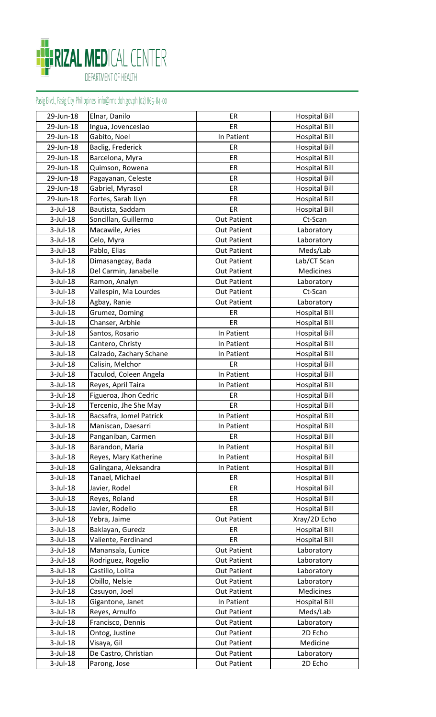

| 29-Jun-18   | Elnar, Danilo           | ER                 | <b>Hospital Bill</b> |
|-------------|-------------------------|--------------------|----------------------|
| 29-Jun-18   | Ingua, Jovenceslao      | ER                 | <b>Hospital Bill</b> |
| 29-Jun-18   | Gabito, Noel            | In Patient         | <b>Hospital Bill</b> |
| 29-Jun-18   | Baclig, Frederick       | ER                 | <b>Hospital Bill</b> |
| 29-Jun-18   | Barcelona, Myra         | ER                 | <b>Hospital Bill</b> |
| 29-Jun-18   | Quimson, Rowena         | ER                 | <b>Hospital Bill</b> |
| 29-Jun-18   | Pagayanan, Celeste      | ER                 | <b>Hospital Bill</b> |
| 29-Jun-18   | Gabriel, Myrasol        | ER                 | <b>Hospital Bill</b> |
| 29-Jun-18   | Fortes, Sarah ILyn      | ER                 | <b>Hospital Bill</b> |
| $3$ -Jul-18 | Bautista, Saddam        | ER                 | <b>Hospital Bill</b> |
| 3-Jul-18    | Soncillan, Guillermo    | <b>Out Patient</b> | Ct-Scan              |
| $3$ -Jul-18 | Macawile, Aries         | <b>Out Patient</b> | Laboratory           |
| $3$ -Jul-18 | Celo, Myra              | <b>Out Patient</b> | Laboratory           |
| $3$ -Jul-18 | Pablo, Elias            | <b>Out Patient</b> | Meds/Lab             |
| $3$ -Jul-18 | Dimasangcay, Bada       | <b>Out Patient</b> | Lab/CT Scan          |
| $3$ -Jul-18 | Del Carmin, Janabelle   | <b>Out Patient</b> | <b>Medicines</b>     |
| $3$ -Jul-18 | Ramon, Analyn           | Out Patient        | Laboratory           |
| $3$ -Jul-18 | Vallespin, Ma Lourdes   | <b>Out Patient</b> | Ct-Scan              |
| $3$ -Jul-18 | Agbay, Ranie            | Out Patient        | Laboratory           |
| 3-Jul-18    | Grumez, Doming          | ER                 | <b>Hospital Bill</b> |
| $3$ -Jul-18 | Chanser, Arbhie         | ER                 | <b>Hospital Bill</b> |
| $3$ -Jul-18 | Santos, Rosario         | In Patient         | <b>Hospital Bill</b> |
| $3$ -Jul-18 | Cantero, Christy        | In Patient         | <b>Hospital Bill</b> |
| $3$ -Jul-18 | Calzado, Zachary Schane | In Patient         | <b>Hospital Bill</b> |
| $3$ -Jul-18 | Calisin, Melchor        | ER                 | <b>Hospital Bill</b> |
| $3$ -Jul-18 | Taculod, Coleen Angela  | In Patient         | <b>Hospital Bill</b> |
| $3$ -Jul-18 | Reyes, April Taira      | In Patient         | <b>Hospital Bill</b> |
| $3$ -Jul-18 | Figueroa, Jhon Cedric   | ER                 | <b>Hospital Bill</b> |
| $3$ -Jul-18 | Tercenio, Jhe She May   | ER                 | <b>Hospital Bill</b> |
| $3$ -Jul-18 | Bacsafra, Jomel Patrick | In Patient         | <b>Hospital Bill</b> |
| 3-Jul-18    | Maniscan, Daesarri      | In Patient         | <b>Hospital Bill</b> |
| $3$ -Jul-18 | Panganiban, Carmen      | ER                 | <b>Hospital Bill</b> |
| 3-Jul-18    | Barandon, Maria         | In Patient         | <b>Hospital Bill</b> |
| $3$ -Jul-18 | Reyes, Mary Katherine   | In Patient         | <b>Hospital Bill</b> |
| 3-Jul-18    | Galingana, Aleksandra   | In Patient         | <b>Hospital Bill</b> |
| $3$ -Jul-18 | Tanael, Michael         | ER                 | <b>Hospital Bill</b> |
| $3$ -Jul-18 | Javier, Rodel           | ER                 | <b>Hospital Bill</b> |
| $3$ -Jul-18 | Reyes, Roland           | ER                 | <b>Hospital Bill</b> |
| 3-Jul-18    | Javier, Rodelio         | ER                 | <b>Hospital Bill</b> |
| 3-Jul-18    | Yebra, Jaime            | <b>Out Patient</b> | Xray/2D Echo         |
| $3$ -Jul-18 | Baklayan, Guredz        | ER                 | <b>Hospital Bill</b> |
| $3$ -Jul-18 | Valiente, Ferdinand     | ER                 | <b>Hospital Bill</b> |
| $3$ -Jul-18 | Manansala, Eunice       | <b>Out Patient</b> | Laboratory           |
| $3$ -Jul-18 | Rodriguez, Rogelio      | <b>Out Patient</b> | Laboratory           |
| 3-Jul-18    | Castillo, Lolita        | Out Patient        | Laboratory           |
| $3$ -Jul-18 | Obillo, Nelsie          | <b>Out Patient</b> | Laboratory           |
| $3$ -Jul-18 | Casuyon, Joel           | <b>Out Patient</b> | Medicines            |
| $3$ -Jul-18 | Gigantone, Janet        | In Patient         | <b>Hospital Bill</b> |
| 3-Jul-18    | Reyes, Arnulfo          | <b>Out Patient</b> | Meds/Lab             |
| $3$ -Jul-18 | Francisco, Dennis       | <b>Out Patient</b> | Laboratory           |
| $3$ -Jul-18 | Ontog, Justine          | <b>Out Patient</b> | 2D Echo              |
| 3-Jul-18    | Visaya, Gil             | <b>Out Patient</b> | Medicine             |
| $3$ -Jul-18 | De Castro, Christian    | <b>Out Patient</b> | Laboratory           |
| $3$ -Jul-18 | Parong, Jose            | <b>Out Patient</b> | 2D Echo              |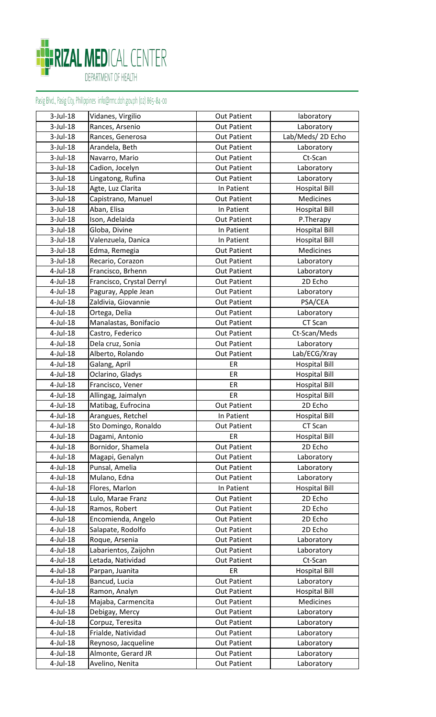

| $3$ -Jul-18 | Vidanes, Virgilio         | <b>Out Patient</b> | laboratory           |
|-------------|---------------------------|--------------------|----------------------|
| $3$ -Jul-18 | Rances, Arsenio           | <b>Out Patient</b> | Laboratory           |
| $3$ -Jul-18 | Rances, Generosa          | <b>Out Patient</b> | Lab/Meds/2D Echo     |
| $3$ -Jul-18 | Arandela, Beth            | <b>Out Patient</b> | Laboratory           |
| $3$ -Jul-18 | Navarro, Mario            | <b>Out Patient</b> | Ct-Scan              |
| $3$ -Jul-18 | Cadion, Jocelyn           | <b>Out Patient</b> | Laboratory           |
| $3$ -Jul-18 | Lingatong, Rufina         | <b>Out Patient</b> | Laboratory           |
| $3$ -Jul-18 | Agte, Luz Clarita         | In Patient         | <b>Hospital Bill</b> |
| $3$ -Jul-18 | Capistrano, Manuel        | <b>Out Patient</b> | <b>Medicines</b>     |
| $3$ -Jul-18 | Aban, Elisa               | In Patient         | <b>Hospital Bill</b> |
| $3$ -Jul-18 | Ison, Adelaida            | <b>Out Patient</b> | P.Therapy            |
| $3$ -Jul-18 | Globa, Divine             | In Patient         | <b>Hospital Bill</b> |
| $3$ -Jul-18 | Valenzuela, Danica        | In Patient         | <b>Hospital Bill</b> |
| $3$ -Jul-18 | Edma, Remegia             | <b>Out Patient</b> | Medicines            |
| $3$ -Jul-18 | Recario, Corazon          | <b>Out Patient</b> | Laboratory           |
| 4-Jul-18    | Francisco, Brhenn         | <b>Out Patient</b> | Laboratory           |
| 4-Jul-18    | Francisco, Crystal Derryl | <b>Out Patient</b> | 2D Echo              |
| 4-Jul-18    | Paguray, Apple Jean       | <b>Out Patient</b> | Laboratory           |
| 4-Jul-18    | Zaldivia, Giovannie       | <b>Out Patient</b> | PSA/CEA              |
| 4-Jul-18    | Ortega, Delia             | <b>Out Patient</b> | Laboratory           |
| $4$ -Jul-18 | Manalastas, Bonifacio     | <b>Out Patient</b> | CT Scan              |
| 4-Jul-18    | Castro, Federico          | <b>Out Patient</b> | Ct-Scan/Meds         |
| 4-Jul-18    | Dela cruz, Sonia          | <b>Out Patient</b> | Laboratory           |
| 4-Jul-18    | Alberto, Rolando          | <b>Out Patient</b> | Lab/ECG/Xray         |
| 4-Jul-18    | Galang, April             | ER                 | <b>Hospital Bill</b> |
| $4$ -Jul-18 | Oclarino, Gladys          | ER                 | <b>Hospital Bill</b> |
| $4$ -Jul-18 | Francisco, Vener          | ER                 | <b>Hospital Bill</b> |
| 4-Jul-18    | Allingag, Jaimalyn        | ER                 | <b>Hospital Bill</b> |
| 4-Jul-18    | Matibag, Eufrocina        | <b>Out Patient</b> | 2D Echo              |
| 4-Jul-18    | Arangues, Retchel         | In Patient         | <b>Hospital Bill</b> |
| 4-Jul-18    | Sto Domingo, Ronaldo      | <b>Out Patient</b> | CT Scan              |
| $4$ -Jul-18 | Dagami, Antonio           | ER                 | <b>Hospital Bill</b> |
| 4-Jul-18    | Bornidor, Shamela         | <b>Out Patient</b> | 2D Echo              |
| $4$ -Jul-18 | Magapi, Genalyn           | <b>Out Patient</b> | Laboratory           |
| 4-Jul-18    | Punsal, Amelia            | <b>Out Patient</b> | Laboratory           |
| 4-Jul-18    | Mulano, Edna              | <b>Out Patient</b> | Laboratory           |
| 4-Jul-18    | Flores, Marlon            | In Patient         | <b>Hospital Bill</b> |
| 4-Jul-18    | Lulo, Marae Franz         | <b>Out Patient</b> | 2D Echo              |
| 4-Jul-18    | Ramos, Robert             | <b>Out Patient</b> | 2D Echo              |
| 4-Jul-18    | Encomienda, Angelo        | <b>Out Patient</b> | 2D Echo              |
| 4-Jul-18    | Salapate, Rodolfo         | <b>Out Patient</b> | 2D Echo              |
| 4-Jul-18    | Roque, Arsenia            | <b>Out Patient</b> | Laboratory           |
| 4-Jul-18    | Labarientos, Zaijohn      | <b>Out Patient</b> | Laboratory           |
| 4-Jul-18    | Letada, Natividad         | <b>Out Patient</b> | Ct-Scan              |
| 4-Jul-18    | Parpan, Juanita           | ER                 | <b>Hospital Bill</b> |
| 4-Jul-18    | Bancud, Lucia             | <b>Out Patient</b> | Laboratory           |
| 4-Jul-18    | Ramon, Analyn             | <b>Out Patient</b> | <b>Hospital Bill</b> |
| 4-Jul-18    | Majaba, Carmencita        | <b>Out Patient</b> | Medicines            |
| 4-Jul-18    | Debigay, Mercy            | <b>Out Patient</b> | Laboratory           |
| $4$ -Jul-18 | Corpuz, Teresita          | Out Patient        | Laboratory           |
| 4-Jul-18    | Frialde, Natividad        | <b>Out Patient</b> | Laboratory           |
| 4-Jul-18    | Reynoso, Jacqueline       | <b>Out Patient</b> | Laboratory           |
| 4-Jul-18    | Almonte, Gerard JR        | <b>Out Patient</b> | Laboratory           |
| 4-Jul-18    | Avelino, Nenita           | <b>Out Patient</b> | Laboratory           |